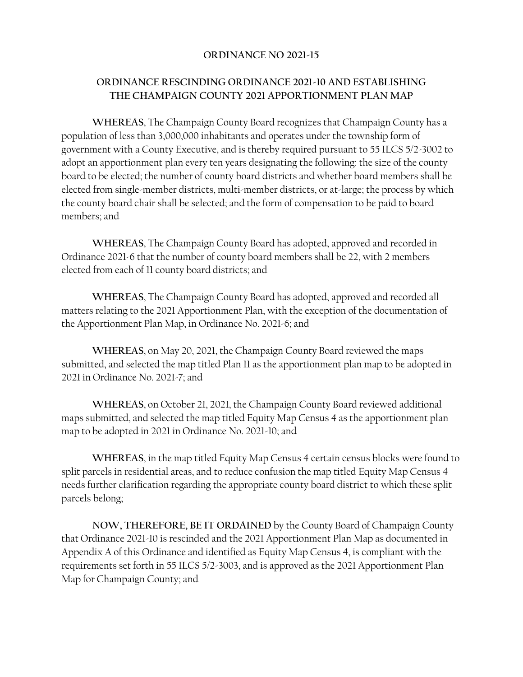## **ORDINANCE NO 2021-15**

## **ORDINANCE RESCINDING ORDINANCE 2021-10 AND ESTABLISHING THE CHAMPAIGN COUNTY 2021 APPORTIONMENT PLAN MAP**

**WHEREAS**, The Champaign County Board recognizes that Champaign County has a population of less than 3,000,000 inhabitants and operates under the township form of government with a County Executive, and is thereby required pursuant to 55 ILCS 5/2-3002 to adopt an apportionment plan every ten years designating the following: the size of the county board to be elected; the number of county board districts and whether board members shall be elected from single-member districts, multi-member districts, or at-large; the process by which the county board chair shall be selected; and the form of compensation to be paid to board members; and

**WHEREAS**, The Champaign County Board has adopted, approved and recorded in Ordinance 2021-6 that the number of county board members shall be 22, with 2 members elected from each of 11 county board districts; and

**WHEREAS**, The Champaign County Board has adopted, approved and recorded all matters relating to the 2021 Apportionment Plan, with the exception of the documentation of the Apportionment Plan Map, in Ordinance No. 2021-6; and

**WHEREAS**, on May 20, 2021, the Champaign County Board reviewed the maps submitted, and selected the map titled Plan 11 as the apportionment plan map to be adopted in 2021 in Ordinance No. 2021-7; and

**WHEREAS**, on October 21, 2021, the Champaign County Board reviewed additional maps submitted, and selected the map titled Equity Map Census 4 as the apportionment plan map to be adopted in 2021 in Ordinance No. 2021-10; and

**WHEREAS**, in the map titled Equity Map Census 4 certain census blocks were found to split parcels in residential areas, and to reduce confusion the map titled Equity Map Census 4 needs further clarification regarding the appropriate county board district to which these split parcels belong;

**NOW, THEREFORE, BE IT ORDAINED** by the County Board of Champaign County that Ordinance 2021-10 is rescinded and the 2021 Apportionment Plan Map as documented in Appendix A of this Ordinance and identified as Equity Map Census 4, is compliant with the requirements set forth in 55 ILCS 5/2-3003, and is approved as the 2021 Apportionment Plan Map for Champaign County; and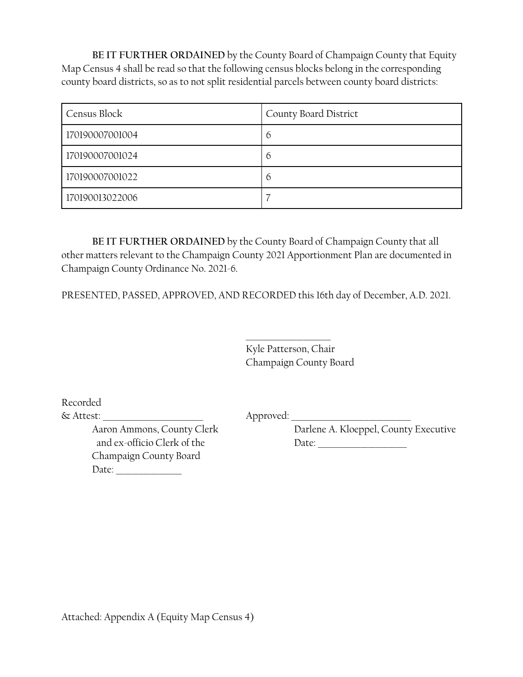**BE IT FURTHER ORDAINED** by the County Board of Champaign County that Equity Map Census 4 shall be read so that the following census blocks belong in the corresponding county board districts, so as to not split residential parcels between county board districts:

| Census Block    | County Board District |
|-----------------|-----------------------|
| 170190007001004 | 6                     |
| 170190007001024 | $\circ$               |
| 170190007001022 | $\circ$               |
| 170190013022006 |                       |

**BE IT FURTHER ORDAINED** by the County Board of Champaign County that all other matters relevant to the Champaign County 2021 Apportionment Plan are documented in Champaign County Ordinance No. 2021-6.

PRESENTED, PASSED, APPROVED, AND RECORDED this 16th day of December, A.D. 2021.

Kyle Patterson, Chair Champaign County Board

\_\_\_\_\_\_\_\_\_\_\_\_\_\_\_\_\_\_\_\_\_\_

Recorded

& Attest: \_\_\_\_\_\_\_\_\_\_\_\_\_\_\_\_\_\_\_\_\_\_\_\_\_\_ Approved: \_\_\_\_\_\_\_\_\_\_\_\_\_\_\_\_\_\_\_\_\_\_\_\_\_\_\_\_\_\_\_

Aaron Ammons, County Clerk Darlene A. Kloeppel, County Executive

 and ex-officio Clerk of the Date: \_\_\_\_\_\_\_\_\_\_\_\_\_\_\_\_\_\_\_\_\_\_\_ Champaign County Board Date: \_\_\_\_\_\_\_\_\_\_\_\_\_\_\_\_\_

Attached: Appendix A (Equity Map Census 4)